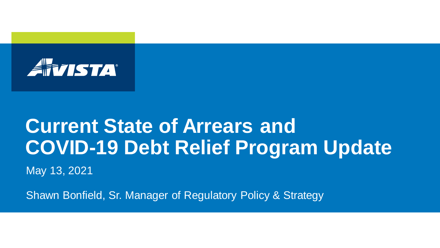

# **Current State of Arrears and COVID-19 Debt Relief Program Update**

May 13, 2021

Shawn Bonfield, Sr. Manager of Regulatory Policy & Strategy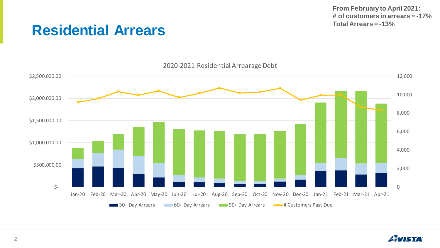**From February to April 2021: # of customers in arrears = -17% Total Arrears = -13%**

## **Residential Arrears**



2020-2021 Residential Arrearage Debt

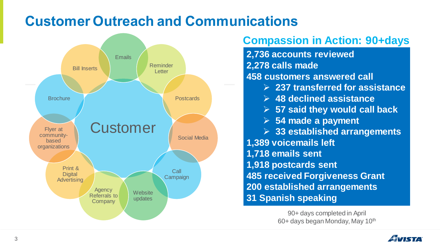## **Customer Outreach and Communications**



### **Compassion in Action: 90+days**

**2,736 accounts reviewed 2,278 calls made 458 customers answered call** ➢ **237 transferred for assistance** ➢ **48 declined assistance** ➢ **57 said they would call back** ➢ **54 made a payment** ➢ **33 established arrangements 1,389 voicemails left 1,718 emails sent 1,918 postcards sent 485 received Forgiveness Grant 200 established arrangements 31 Spanish speaking**

> 90+ days completed in April 60+ days began Monday, May 10th

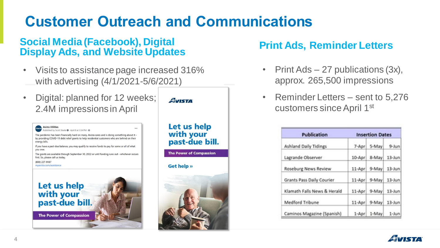## **Customer Outreach and Communications**

#### **Social Media (Facebook), Digital Display Ads, and Website Updates Print Ads, Reminder Letters**

- Visits to assistance page increased 316% with advertising (4/1/2021-5/6/2021)
- Digital: planned for 12 weeks; 2.4M impressions in April



**The Power of Compassion** 



- Print Ads 27 publications (3x), approx. 265,500 impressions
- Reminder Letters sent to 5,276 customers since April 1st

| <b>Publication</b>           | <b>Insertion Dates</b> |       |           |  |
|------------------------------|------------------------|-------|-----------|--|
| <b>Ashland Daily Tidings</b> | 7-Apr                  | 5-May | $9 - Jun$ |  |
| Lagrande Observer            | 10-Apr                 | 8-May | $13$ -Jun |  |
| Roseburg News Review         | 11·Apr                 | 9-May | $13$ -Jun |  |
| Grants Pass Daily Courier    | 11-Apr                 | 9-May | $13$ -Jun |  |
| Klamath Falls News & Herald  | $11-Apr$               | 9-May | $13$ -Jun |  |
| Medford Tribune              | 11-Apr                 | 9-May | $13$ -Jun |  |
| Caminos Magazine (Spanish)   | 1-Apri                 | 1-May | $1 - Jun$ |  |

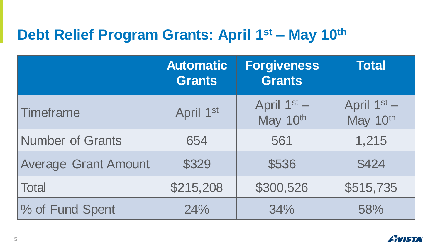## **Debt Relief Program Grants: April 1st – May 10th**

|                             | <b>Automatic</b><br><b>Grants</b> | Forgiveness<br><b>Grants</b> | <b>Total</b>                                    |
|-----------------------------|-----------------------------------|------------------------------|-------------------------------------------------|
| Timeframe                   | April 1st                         | April 1st -<br>May 10th      | April 1 <sup>st</sup> –<br>May 10 <sup>th</sup> |
| <b>Number of Grants</b>     | 654                               | 561                          | 1,215                                           |
| <b>Average Grant Amount</b> | \$329                             | \$536                        | \$424                                           |
| <b>Total</b>                | \$215,208                         | \$300,526                    | \$515,735                                       |
| % of Fund Spent             | 24%                               | 34%                          | 58%                                             |

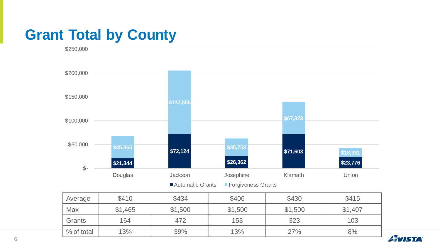## **Grant Total by County**

\$250,000



| Average       | \$410   | \$434   | \$406   | \$430   | \$415   |
|---------------|---------|---------|---------|---------|---------|
| Max           | \$1,465 | \$1,500 | \$1,500 | \$1,500 | \$1,407 |
| <b>Grants</b> | 164     | 472     | 153     | 323     | 103     |
| % of total    | 13%     | 39%     | 13%     | 27%     | 8%      |